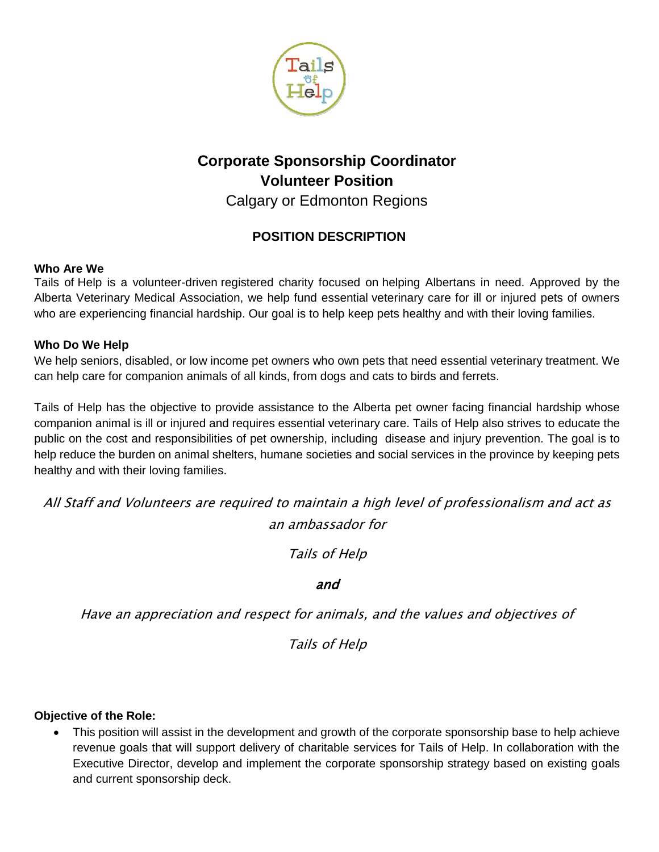

# **Corporate Sponsorship Coordinator Volunteer Position**

Calgary or Edmonton Regions

# **POSITION DESCRIPTION**

# **Who Are We**

Tails of Help is a volunteer-driven registered charity focused on helping Albertans in need. Approved by the Alberta Veterinary Medical Association, we help fund essential veterinary care for ill or injured pets of owners who are experiencing financial hardship. Our goal is to help keep pets healthy and with their loving families.

# **Who Do We Help**

We help seniors, disabled, or low income pet owners who own pets that need essential veterinary treatment. We can help care for companion animals of all kinds, from dogs and cats to birds and ferrets.

Tails of Help has the objective to provide assistance to the Alberta pet owner facing financial hardship whose companion animal is ill or injured and requires essential veterinary care. Tails of Help also strives to educate the public on the cost and responsibilities of pet ownership, including disease and injury prevention. The goal is to help reduce the burden on animal shelters, humane societies and social services in the province by keeping pets healthy and with their loving families.

All Staff and Volunteers are required to maintain a high level of professionalism and act as an ambassador for

Tails of Help

# and

Have an appreciation and respect for animals, and the values and objectives of

Tails of Help

#### **Objective of the Role:**

 This position will assist in the development and growth of the corporate sponsorship base to help achieve revenue goals that will support delivery of charitable services for Tails of Help. In collaboration with the Executive Director, develop and implement the corporate sponsorship strategy based on existing goals and current sponsorship deck.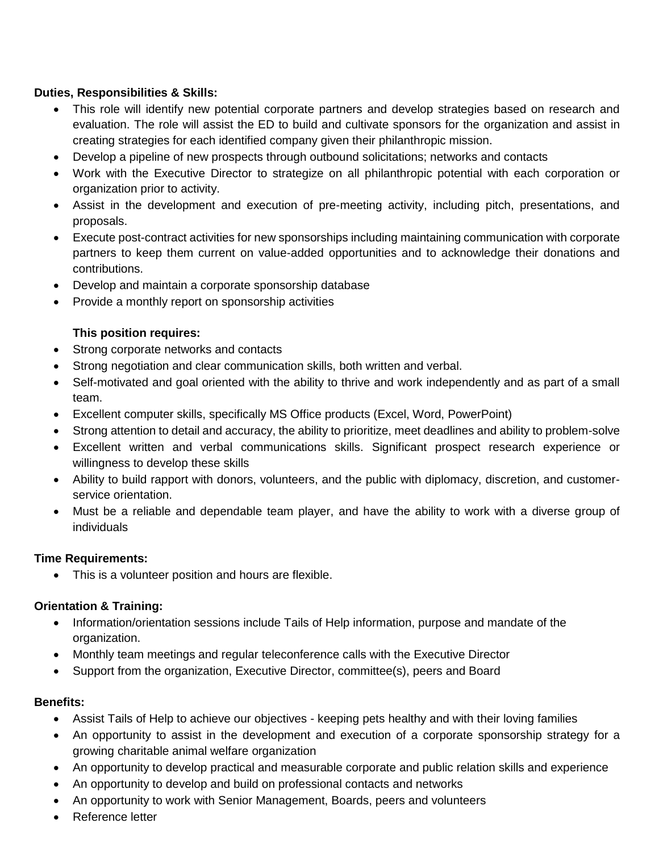### **Duties, Responsibilities & Skills:**

- This role will identify new potential corporate partners and develop strategies based on research and evaluation. The role will assist the ED to build and cultivate sponsors for the organization and assist in creating strategies for each identified company given their philanthropic mission.
- Develop a pipeline of new prospects through outbound solicitations; networks and contacts
- Work with the Executive Director to strategize on all philanthropic potential with each corporation or organization prior to activity.
- Assist in the development and execution of pre-meeting activity, including pitch, presentations, and proposals.
- Execute post-contract activities for new sponsorships including maintaining communication with corporate partners to keep them current on value-added opportunities and to acknowledge their donations and contributions.
- Develop and maintain a corporate sponsorship database
- Provide a monthly report on sponsorship activities

# **This position requires:**

- Strong corporate networks and contacts
- Strong negotiation and clear communication skills, both written and verbal.
- Self-motivated and goal oriented with the ability to thrive and work independently and as part of a small team.
- Excellent computer skills, specifically MS Office products (Excel, Word, PowerPoint)
- Strong attention to detail and accuracy, the ability to prioritize, meet deadlines and ability to problem-solve
- Excellent written and verbal communications skills. Significant prospect research experience or willingness to develop these skills
- Ability to build rapport with donors, volunteers, and the public with diplomacy, discretion, and customerservice orientation.
- Must be a reliable and dependable team player, and have the ability to work with a diverse group of individuals

#### **Time Requirements:**

• This is a volunteer position and hours are flexible.

#### **Orientation & Training:**

- Information/orientation sessions include Tails of Help information, purpose and mandate of the organization.
- Monthly team meetings and regular teleconference calls with the Executive Director
- Support from the organization, Executive Director, committee(s), peers and Board

#### **Benefits:**

- Assist Tails of Help to achieve our objectives keeping pets healthy and with their loving families
- An opportunity to assist in the development and execution of a corporate sponsorship strategy for a growing charitable animal welfare organization
- An opportunity to develop practical and measurable corporate and public relation skills and experience
- An opportunity to develop and build on professional contacts and networks
- An opportunity to work with Senior Management, Boards, peers and volunteers
- **Reference letter**